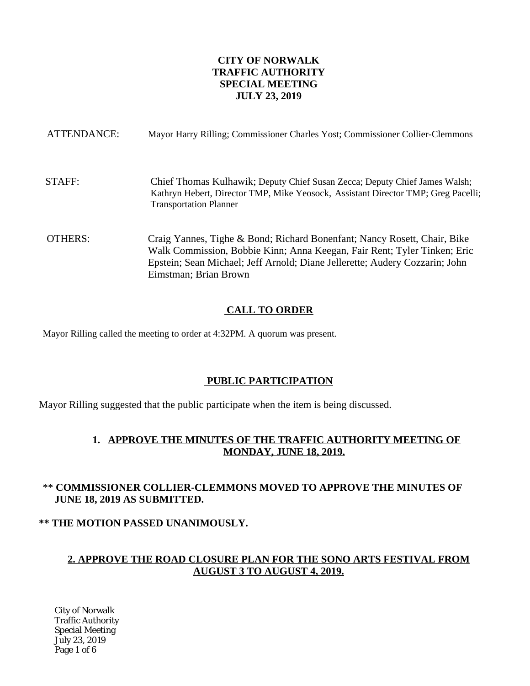## **CITY OF NORWALK TRAFFIC AUTHORITY SPECIAL MEETING JULY 23, 2019**

| ATTENDANCE: | Mayor Harry Rilling; Commissioner Charles Yost; Commissioner Collier-Clemmons                                                                                                                                                                                |
|-------------|--------------------------------------------------------------------------------------------------------------------------------------------------------------------------------------------------------------------------------------------------------------|
| STAFF:      | Chief Thomas Kulhawik; Deputy Chief Susan Zecca; Deputy Chief James Walsh;<br>Kathryn Hebert, Director TMP, Mike Yeosock, Assistant Director TMP; Greg Pacelli;<br><b>Transportation Planner</b>                                                             |
| OTHERS:     | Craig Yannes, Tighe & Bond; Richard Bonenfant; Nancy Rosett, Chair, Bike<br>Walk Commission, Bobbie Kinn; Anna Keegan, Fair Rent; Tyler Tinken; Eric<br>Epstein; Sean Michael; Jeff Arnold; Diane Jellerette; Audery Cozzarin; John<br>Eimstman; Brian Brown |

## **CALL TO ORDER**

Mayor Rilling called the meeting to order at 4:32PM. A quorum was present.

## **PUBLIC PARTICIPATION**

Mayor Rilling suggested that the public participate when the item is being discussed.

## **1. APPROVE THE MINUTES OF THE TRAFFIC AUTHORITY MEETING OF MONDAY, JUNE 18, 2019.**

## \*\* **COMMISSIONER COLLIER-CLEMMONS MOVED TO APPROVE THE MINUTES OF JUNE 18, 2019 AS SUBMITTED.**

## **\*\* THE MOTION PASSED UNANIMOUSLY.**

## **2. APPROVE THE ROAD CLOSURE PLAN FOR THE SONO ARTS FESTIVAL FROM AUGUST 3 TO AUGUST 4, 2019.**

City of Norwalk Traffic Authority Special Meeting July 23, 2019 Page 1 of 6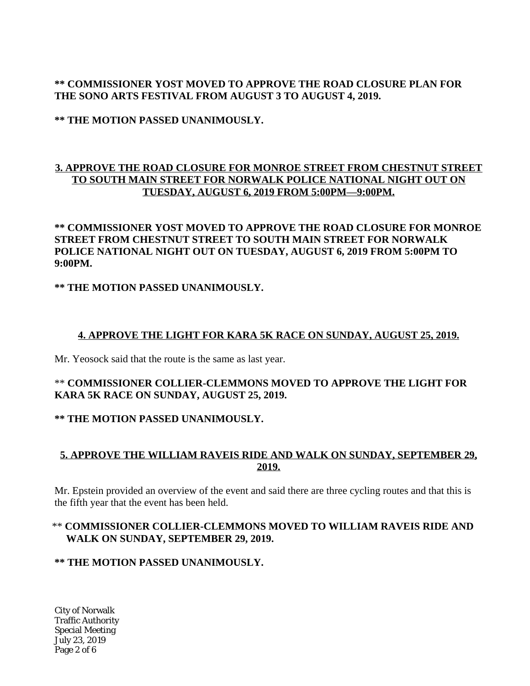## **\*\* COMMISSIONER YOST MOVED TO APPROVE THE ROAD CLOSURE PLAN FOR THE SONO ARTS FESTIVAL FROM AUGUST 3 TO AUGUST 4, 2019.**

**\*\* THE MOTION PASSED UNANIMOUSLY.**

## **3. APPROVE THE ROAD CLOSURE FOR MONROE STREET FROM CHESTNUT STREET TO SOUTH MAIN STREET FOR NORWALK POLICE NATIONAL NIGHT OUT ON TUESDAY, AUGUST 6, 2019 FROM 5:00PM—9:00PM.**

## **\*\* COMMISSIONER YOST MOVED TO APPROVE THE ROAD CLOSURE FOR MONROE STREET FROM CHESTNUT STREET TO SOUTH MAIN STREET FOR NORWALK POLICE NATIONAL NIGHT OUT ON TUESDAY, AUGUST 6, 2019 FROM 5:00PM TO 9:00PM.**

## **\*\* THE MOTION PASSED UNANIMOUSLY.**

## **4. APPROVE THE LIGHT FOR KARA 5K RACE ON SUNDAY, AUGUST 25, 2019.**

Mr. Yeosock said that the route is the same as last year.

## \*\* **COMMISSIONER COLLIER-CLEMMONS MOVED TO APPROVE THE LIGHT FOR KARA 5K RACE ON SUNDAY, AUGUST 25, 2019.**

## **\*\* THE MOTION PASSED UNANIMOUSLY.**

# **5. APPROVE THE WILLIAM RAVEIS RIDE AND WALK ON SUNDAY, SEPTEMBER 29, 2019.**

Mr. Epstein provided an overview of the event and said there are three cycling routes and that this is the fifth year that the event has been held.

## \*\* **COMMISSIONER COLLIER-CLEMMONS MOVED TO WILLIAM RAVEIS RIDE AND WALK ON SUNDAY, SEPTEMBER 29, 2019.**

## **\*\* THE MOTION PASSED UNANIMOUSLY.**

City of Norwalk Traffic Authority Special Meeting July 23, 2019 Page 2 of 6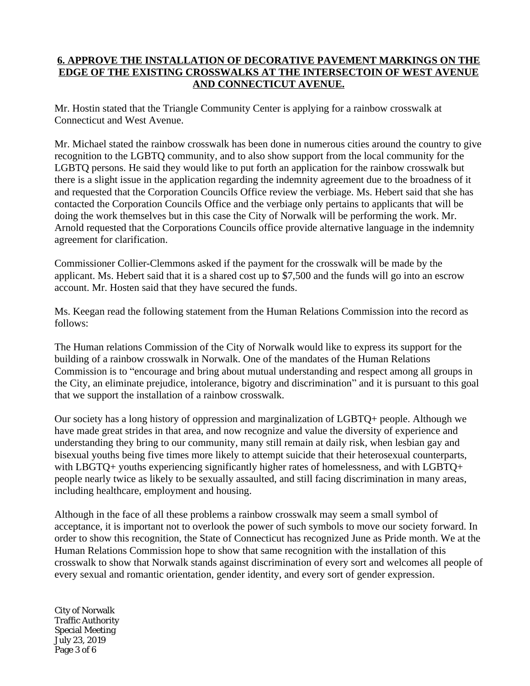## **6. APPROVE THE INSTALLATION OF DECORATIVE PAVEMENT MARKINGS ON THE EDGE OF THE EXISTING CROSSWALKS AT THE INTERSECTOIN OF WEST AVENUE AND CONNECTICUT AVENUE.**

Mr. Hostin stated that the Triangle Community Center is applying for a rainbow crosswalk at Connecticut and West Avenue.

Mr. Michael stated the rainbow crosswalk has been done in numerous cities around the country to give recognition to the LGBTQ community, and to also show support from the local community for the LGBTQ persons. He said they would like to put forth an application for the rainbow crosswalk but there is a slight issue in the application regarding the indemnity agreement due to the broadness of it and requested that the Corporation Councils Office review the verbiage. Ms. Hebert said that she has contacted the Corporation Councils Office and the verbiage only pertains to applicants that will be doing the work themselves but in this case the City of Norwalk will be performing the work. Mr. Arnold requested that the Corporations Councils office provide alternative language in the indemnity agreement for clarification.

Commissioner Collier-Clemmons asked if the payment for the crosswalk will be made by the applicant. Ms. Hebert said that it is a shared cost up to \$7,500 and the funds will go into an escrow account. Mr. Hosten said that they have secured the funds.

Ms. Keegan read the following statement from the Human Relations Commission into the record as follows:

The Human relations Commission of the City of Norwalk would like to express its support for the building of a rainbow crosswalk in Norwalk. One of the mandates of the Human Relations Commission is to "encourage and bring about mutual understanding and respect among all groups in the City, an eliminate prejudice, intolerance, bigotry and discrimination" and it is pursuant to this goal that we support the installation of a rainbow crosswalk.

Our society has a long history of oppression and marginalization of LGBTQ+ people. Although we have made great strides in that area, and now recognize and value the diversity of experience and understanding they bring to our community, many still remain at daily risk, when lesbian gay and bisexual youths being five times more likely to attempt suicide that their heterosexual counterparts, with LBGTQ+ youths experiencing significantly higher rates of homelessness, and with LGBTQ+ people nearly twice as likely to be sexually assaulted, and still facing discrimination in many areas, including healthcare, employment and housing.

Although in the face of all these problems a rainbow crosswalk may seem a small symbol of acceptance, it is important not to overlook the power of such symbols to move our society forward. In order to show this recognition, the State of Connecticut has recognized June as Pride month. We at the Human Relations Commission hope to show that same recognition with the installation of this crosswalk to show that Norwalk stands against discrimination of every sort and welcomes all people of every sexual and romantic orientation, gender identity, and every sort of gender expression.

City of Norwalk Traffic Authority Special Meeting July 23, 2019 Page 3 of 6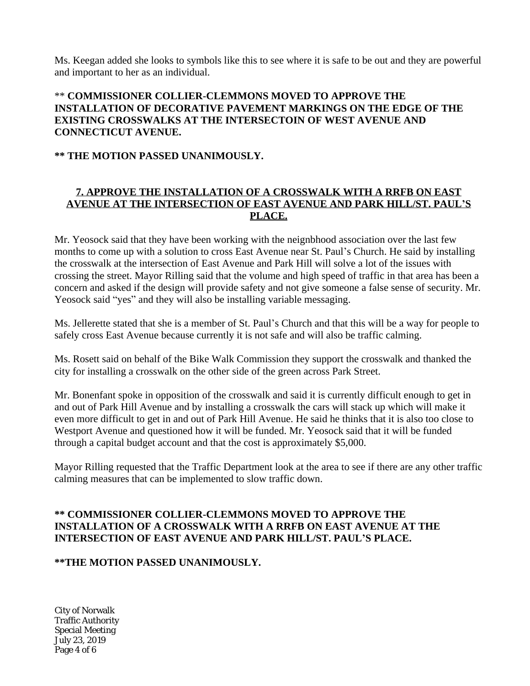Ms. Keegan added she looks to symbols like this to see where it is safe to be out and they are powerful and important to her as an individual.

## \*\* **COMMISSIONER COLLIER-CLEMMONS MOVED TO APPROVE THE INSTALLATION OF DECORATIVE PAVEMENT MARKINGS ON THE EDGE OF THE EXISTING CROSSWALKS AT THE INTERSECTOIN OF WEST AVENUE AND CONNECTICUT AVENUE.**

### **\*\* THE MOTION PASSED UNANIMOUSLY.**

## **7. APPROVE THE INSTALLATION OF A CROSSWALK WITH A RRFB ON EAST AVENUE AT THE INTERSECTION OF EAST AVENUE AND PARK HILL/ST. PAUL'S PLACE.**

Mr. Yeosock said that they have been working with the neignbhood association over the last few months to come up with a solution to cross East Avenue near St. Paul's Church. He said by installing the crosswalk at the intersection of East Avenue and Park Hill will solve a lot of the issues with crossing the street. Mayor Rilling said that the volume and high speed of traffic in that area has been a concern and asked if the design will provide safety and not give someone a false sense of security. Mr. Yeosock said "yes" and they will also be installing variable messaging.

Ms. Jellerette stated that she is a member of St. Paul's Church and that this will be a way for people to safely cross East Avenue because currently it is not safe and will also be traffic calming.

Ms. Rosett said on behalf of the Bike Walk Commission they support the crosswalk and thanked the city for installing a crosswalk on the other side of the green across Park Street.

Mr. Bonenfant spoke in opposition of the crosswalk and said it is currently difficult enough to get in and out of Park Hill Avenue and by installing a crosswalk the cars will stack up which will make it even more difficult to get in and out of Park Hill Avenue. He said he thinks that it is also too close to Westport Avenue and questioned how it will be funded. Mr. Yeosock said that it will be funded through a capital budget account and that the cost is approximately \$5,000.

Mayor Rilling requested that the Traffic Department look at the area to see if there are any other traffic calming measures that can be implemented to slow traffic down.

### **\*\* COMMISSIONER COLLIER-CLEMMONS MOVED TO APPROVE THE INSTALLATION OF A CROSSWALK WITH A RRFB ON EAST AVENUE AT THE INTERSECTION OF EAST AVENUE AND PARK HILL/ST. PAUL'S PLACE.**

## **\*\*THE MOTION PASSED UNANIMOUSLY.**

City of Norwalk Traffic Authority Special Meeting July 23, 2019 Page 4 of 6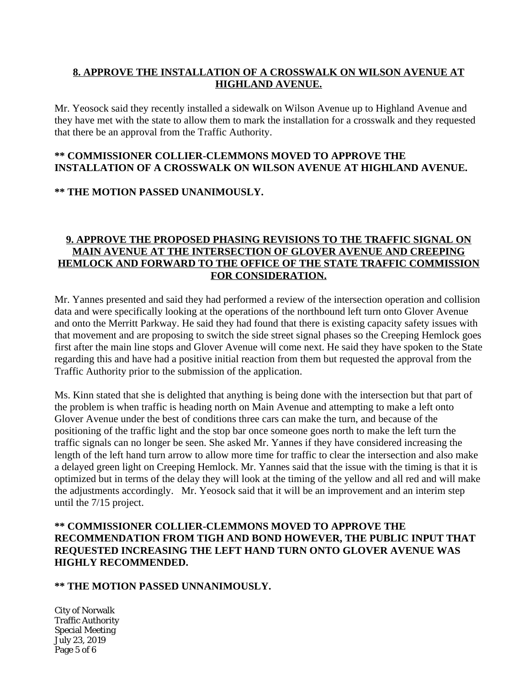## **8. APPROVE THE INSTALLATION OF A CROSSWALK ON WILSON AVENUE AT HIGHLAND AVENUE.**

Mr. Yeosock said they recently installed a sidewalk on Wilson Avenue up to Highland Avenue and they have met with the state to allow them to mark the installation for a crosswalk and they requested that there be an approval from the Traffic Authority.

## **\*\* COMMISSIONER COLLIER-CLEMMONS MOVED TO APPROVE THE INSTALLATION OF A CROSSWALK ON WILSON AVENUE AT HIGHLAND AVENUE.**

#### **\*\* THE MOTION PASSED UNANIMOUSLY.**

### **9. APPROVE THE PROPOSED PHASING REVISIONS TO THE TRAFFIC SIGNAL ON MAIN AVENUE AT THE INTERSECTION OF GLOVER AVENUE AND CREEPING HEMLOCK AND FORWARD TO THE OFFICE OF THE STATE TRAFFIC COMMISSION FOR CONSIDERATION.**

Mr. Yannes presented and said they had performed a review of the intersection operation and collision data and were specifically looking at the operations of the northbound left turn onto Glover Avenue and onto the Merritt Parkway. He said they had found that there is existing capacity safety issues with that movement and are proposing to switch the side street signal phases so the Creeping Hemlock goes first after the main line stops and Glover Avenue will come next. He said they have spoken to the State regarding this and have had a positive initial reaction from them but requested the approval from the Traffic Authority prior to the submission of the application.

Ms. Kinn stated that she is delighted that anything is being done with the intersection but that part of the problem is when traffic is heading north on Main Avenue and attempting to make a left onto Glover Avenue under the best of conditions three cars can make the turn, and because of the positioning of the traffic light and the stop bar once someone goes north to make the left turn the traffic signals can no longer be seen. She asked Mr. Yannes if they have considered increasing the length of the left hand turn arrow to allow more time for traffic to clear the intersection and also make a delayed green light on Creeping Hemlock. Mr. Yannes said that the issue with the timing is that it is optimized but in terms of the delay they will look at the timing of the yellow and all red and will make the adjustments accordingly. Mr. Yeosock said that it will be an improvement and an interim step until the 7/15 project.

## **\*\* COMMISSIONER COLLIER-CLEMMONS MOVED TO APPROVE THE RECOMMENDATION FROM TIGH AND BOND HOWEVER, THE PUBLIC INPUT THAT REQUESTED INCREASING THE LEFT HAND TURN ONTO GLOVER AVENUE WAS HIGHLY RECOMMENDED.**

## **\*\* THE MOTION PASSED UNNANIMOUSLY.**

City of Norwalk Traffic Authority Special Meeting July 23, 2019 Page 5 of 6